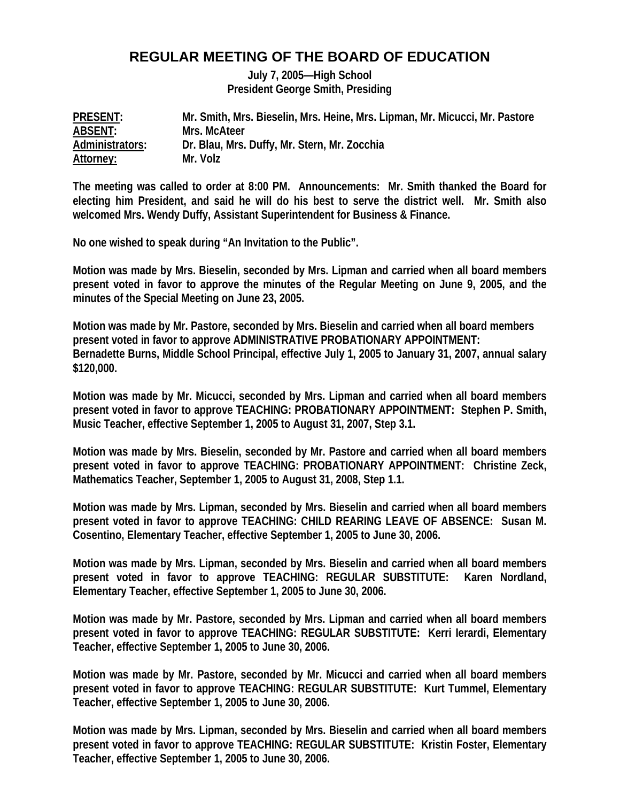## **REGULAR MEETING OF THE BOARD OF EDUCATION**

**July 7, 2005—High School President George Smith, Presiding** 

| <b>PRESENT:</b> | Mr. Smith, Mrs. Bieselin, Mrs. Heine, Mrs. Lipman, Mr. Micucci, Mr. Pastore |
|-----------------|-----------------------------------------------------------------------------|
| ABSENT:         | Mrs. McAteer                                                                |
| Administrators: | Dr. Blau, Mrs. Duffy, Mr. Stern, Mr. Zocchia                                |
| Attorney:       | Mr. Volz                                                                    |

**The meeting was called to order at 8:00 PM. Announcements: Mr. Smith thanked the Board for electing him President, and said he will do his best to serve the district well. Mr. Smith also welcomed Mrs. Wendy Duffy, Assistant Superintendent for Business & Finance.** 

**No one wished to speak during "An Invitation to the Public".** 

**Motion was made by Mrs. Bieselin, seconded by Mrs. Lipman and carried when all board members present voted in favor to approve the minutes of the Regular Meeting on June 9, 2005, and the minutes of the Special Meeting on June 23, 2005.** 

**Motion was made by Mr. Pastore, seconded by Mrs. Bieselin and carried when all board members present voted in favor to approve ADMINISTRATIVE PROBATIONARY APPOINTMENT: Bernadette Burns, Middle School Principal, effective July 1, 2005 to January 31, 2007, annual salary \$120,000.** 

**Motion was made by Mr. Micucci, seconded by Mrs. Lipman and carried when all board members present voted in favor to approve TEACHING: PROBATIONARY APPOINTMENT: Stephen P. Smith, Music Teacher, effective September 1, 2005 to August 31, 2007, Step 3.1.** 

**Motion was made by Mrs. Bieselin, seconded by Mr. Pastore and carried when all board members present voted in favor to approve TEACHING: PROBATIONARY APPOINTMENT: Christine Zeck, Mathematics Teacher, September 1, 2005 to August 31, 2008, Step 1.1.** 

**Motion was made by Mrs. Lipman, seconded by Mrs. Bieselin and carried when all board members present voted in favor to approve TEACHING: CHILD REARING LEAVE OF ABSENCE: Susan M. Cosentino, Elementary Teacher, effective September 1, 2005 to June 30, 2006.** 

**Motion was made by Mrs. Lipman, seconded by Mrs. Bieselin and carried when all board members present voted in favor to approve TEACHING: REGULAR SUBSTITUTE: Karen Nordland, Elementary Teacher, effective September 1, 2005 to June 30, 2006.** 

**Motion was made by Mr. Pastore, seconded by Mrs. Lipman and carried when all board members present voted in favor to approve TEACHING: REGULAR SUBSTITUTE: Kerri Ierardi, Elementary Teacher, effective September 1, 2005 to June 30, 2006.** 

**Motion was made by Mr. Pastore, seconded by Mr. Micucci and carried when all board members present voted in favor to approve TEACHING: REGULAR SUBSTITUTE: Kurt Tummel, Elementary Teacher, effective September 1, 2005 to June 30, 2006.** 

**Motion was made by Mrs. Lipman, seconded by Mrs. Bieselin and carried when all board members present voted in favor to approve TEACHING: REGULAR SUBSTITUTE: Kristin Foster, Elementary Teacher, effective September 1, 2005 to June 30, 2006.**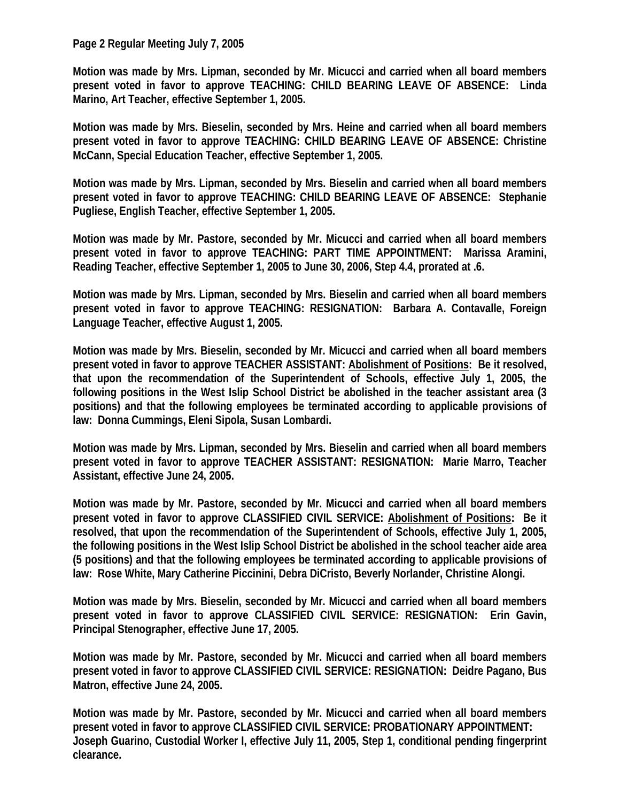## **Page 2 Regular Meeting July 7, 2005**

**Motion was made by Mrs. Lipman, seconded by Mr. Micucci and carried when all board members present voted in favor to approve TEACHING: CHILD BEARING LEAVE OF ABSENCE: Linda Marino, Art Teacher, effective September 1, 2005.** 

**Motion was made by Mrs. Bieselin, seconded by Mrs. Heine and carried when all board members present voted in favor to approve TEACHING: CHILD BEARING LEAVE OF ABSENCE: Christine McCann, Special Education Teacher, effective September 1, 2005.** 

**Motion was made by Mrs. Lipman, seconded by Mrs. Bieselin and carried when all board members present voted in favor to approve TEACHING: CHILD BEARING LEAVE OF ABSENCE: Stephanie Pugliese, English Teacher, effective September 1, 2005.** 

**Motion was made by Mr. Pastore, seconded by Mr. Micucci and carried when all board members present voted in favor to approve TEACHING: PART TIME APPOINTMENT: Marissa Aramini, Reading Teacher, effective September 1, 2005 to June 30, 2006, Step 4.4, prorated at .6.** 

**Motion was made by Mrs. Lipman, seconded by Mrs. Bieselin and carried when all board members present voted in favor to approve TEACHING: RESIGNATION: Barbara A. Contavalle, Foreign Language Teacher, effective August 1, 2005.** 

**Motion was made by Mrs. Bieselin, seconded by Mr. Micucci and carried when all board members present voted in favor to approve TEACHER ASSISTANT: Abolishment of Positions: Be it resolved, that upon the recommendation of the Superintendent of Schools, effective July 1, 2005, the following positions in the West Islip School District be abolished in the teacher assistant area (3 positions) and that the following employees be terminated according to applicable provisions of law: Donna Cummings, Eleni Sipola, Susan Lombardi.** 

**Motion was made by Mrs. Lipman, seconded by Mrs. Bieselin and carried when all board members present voted in favor to approve TEACHER ASSISTANT: RESIGNATION: Marie Marro, Teacher Assistant, effective June 24, 2005.** 

**Motion was made by Mr. Pastore, seconded by Mr. Micucci and carried when all board members present voted in favor to approve CLASSIFIED CIVIL SERVICE: Abolishment of Positions: Be it resolved, that upon the recommendation of the Superintendent of Schools, effective July 1, 2005, the following positions in the West Islip School District be abolished in the school teacher aide area (5 positions) and that the following employees be terminated according to applicable provisions of law: Rose White, Mary Catherine Piccinini, Debra DiCristo, Beverly Norlander, Christine Alongi.** 

**Motion was made by Mrs. Bieselin, seconded by Mr. Micucci and carried when all board members present voted in favor to approve CLASSIFIED CIVIL SERVICE: RESIGNATION: Erin Gavin, Principal Stenographer, effective June 17, 2005.** 

**Motion was made by Mr. Pastore, seconded by Mr. Micucci and carried when all board members present voted in favor to approve CLASSIFIED CIVIL SERVICE: RESIGNATION: Deidre Pagano, Bus Matron, effective June 24, 2005.** 

**Motion was made by Mr. Pastore, seconded by Mr. Micucci and carried when all board members present voted in favor to approve CLASSIFIED CIVIL SERVICE: PROBATIONARY APPOINTMENT: Joseph Guarino, Custodial Worker I, effective July 11, 2005, Step 1, conditional pending fingerprint clearance.**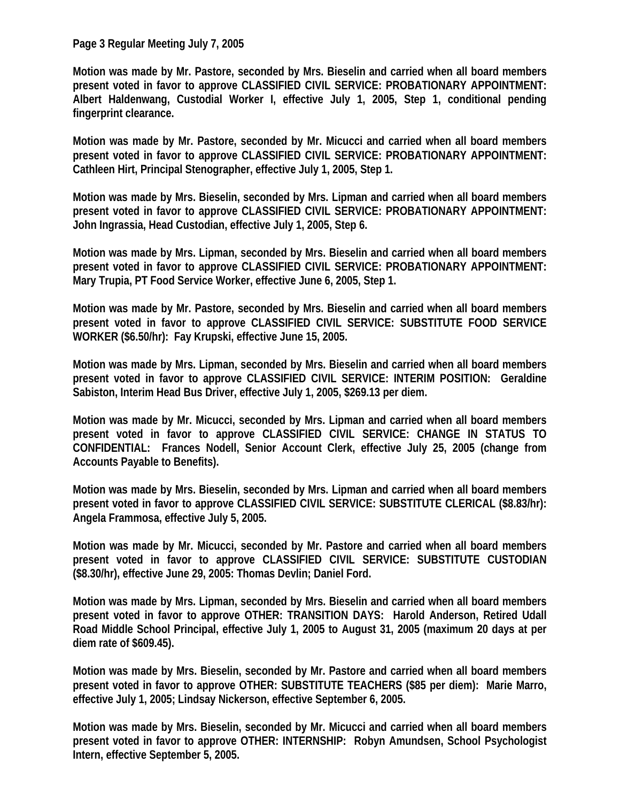## **Page 3 Regular Meeting July 7, 2005**

**Motion was made by Mr. Pastore, seconded by Mrs. Bieselin and carried when all board members present voted in favor to approve CLASSIFIED CIVIL SERVICE: PROBATIONARY APPOINTMENT: Albert Haldenwang, Custodial Worker I, effective July 1, 2005, Step 1, conditional pending fingerprint clearance.** 

**Motion was made by Mr. Pastore, seconded by Mr. Micucci and carried when all board members present voted in favor to approve CLASSIFIED CIVIL SERVICE: PROBATIONARY APPOINTMENT: Cathleen Hirt, Principal Stenographer, effective July 1, 2005, Step 1.** 

**Motion was made by Mrs. Bieselin, seconded by Mrs. Lipman and carried when all board members present voted in favor to approve CLASSIFIED CIVIL SERVICE: PROBATIONARY APPOINTMENT: John Ingrassia, Head Custodian, effective July 1, 2005, Step 6.** 

**Motion was made by Mrs. Lipman, seconded by Mrs. Bieselin and carried when all board members present voted in favor to approve CLASSIFIED CIVIL SERVICE: PROBATIONARY APPOINTMENT: Mary Trupia, PT Food Service Worker, effective June 6, 2005, Step 1.** 

**Motion was made by Mr. Pastore, seconded by Mrs. Bieselin and carried when all board members present voted in favor to approve CLASSIFIED CIVIL SERVICE: SUBSTITUTE FOOD SERVICE WORKER (\$6.50/hr): Fay Krupski, effective June 15, 2005.** 

**Motion was made by Mrs. Lipman, seconded by Mrs. Bieselin and carried when all board members present voted in favor to approve CLASSIFIED CIVIL SERVICE: INTERIM POSITION: Geraldine Sabiston, Interim Head Bus Driver, effective July 1, 2005, \$269.13 per diem.** 

**Motion was made by Mr. Micucci, seconded by Mrs. Lipman and carried when all board members present voted in favor to approve CLASSIFIED CIVIL SERVICE: CHANGE IN STATUS TO CONFIDENTIAL: Frances Nodell, Senior Account Clerk, effective July 25, 2005 (change from Accounts Payable to Benefits).** 

**Motion was made by Mrs. Bieselin, seconded by Mrs. Lipman and carried when all board members present voted in favor to approve CLASSIFIED CIVIL SERVICE: SUBSTITUTE CLERICAL (\$8.83/hr): Angela Frammosa, effective July 5, 2005.** 

**Motion was made by Mr. Micucci, seconded by Mr. Pastore and carried when all board members present voted in favor to approve CLASSIFIED CIVIL SERVICE: SUBSTITUTE CUSTODIAN (\$8.30/hr), effective June 29, 2005: Thomas Devlin; Daniel Ford.** 

**Motion was made by Mrs. Lipman, seconded by Mrs. Bieselin and carried when all board members present voted in favor to approve OTHER: TRANSITION DAYS: Harold Anderson, Retired Udall Road Middle School Principal, effective July 1, 2005 to August 31, 2005 (maximum 20 days at per diem rate of \$609.45).** 

**Motion was made by Mrs. Bieselin, seconded by Mr. Pastore and carried when all board members present voted in favor to approve OTHER: SUBSTITUTE TEACHERS (\$85 per diem): Marie Marro, effective July 1, 2005; Lindsay Nickerson, effective September 6, 2005.** 

**Motion was made by Mrs. Bieselin, seconded by Mr. Micucci and carried when all board members present voted in favor to approve OTHER: INTERNSHIP: Robyn Amundsen, School Psychologist Intern, effective September 5, 2005.**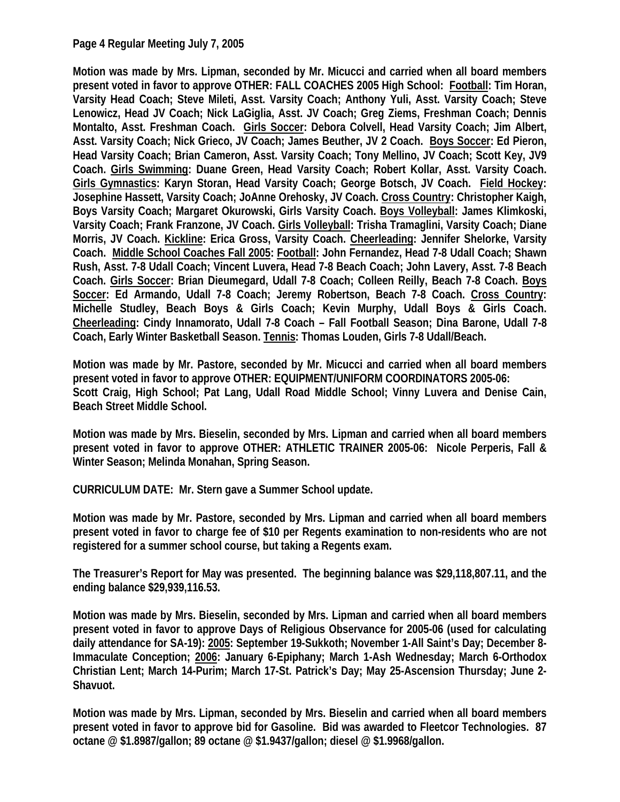## **Page 4 Regular Meeting July 7, 2005**

**Motion was made by Mrs. Lipman, seconded by Mr. Micucci and carried when all board members present voted in favor to approve OTHER: FALL COACHES 2005 High School: Football: Tim Horan, Varsity Head Coach; Steve Mileti, Asst. Varsity Coach; Anthony Yuli, Asst. Varsity Coach; Steve Lenowicz, Head JV Coach; Nick LaGiglia, Asst. JV Coach; Greg Ziems, Freshman Coach; Dennis Montalto, Asst. Freshman Coach. Girls Soccer: Debora Colvell, Head Varsity Coach; Jim Albert, Asst. Varsity Coach; Nick Grieco, JV Coach; James Beuther, JV 2 Coach. Boys Soccer: Ed Pieron, Head Varsity Coach; Brian Cameron, Asst. Varsity Coach; Tony Mellino, JV Coach; Scott Key, JV9 Coach. Girls Swimming: Duane Green, Head Varsity Coach; Robert Kollar, Asst. Varsity Coach. Girls Gymnastics: Karyn Storan, Head Varsity Coach; George Botsch, JV Coach. Field Hockey: Josephine Hassett, Varsity Coach; JoAnne Orehosky, JV Coach. Cross Country: Christopher Kaigh, Boys Varsity Coach; Margaret Okurowski, Girls Varsity Coach. Boys Volleyball: James Klimkoski, Varsity Coach; Frank Franzone, JV Coach. Girls Volleyball: Trisha Tramaglini, Varsity Coach; Diane Morris, JV Coach. Kickline: Erica Gross, Varsity Coach. Cheerleading: Jennifer Shelorke, Varsity Coach. Middle School Coaches Fall 2005: Football: John Fernandez, Head 7-8 Udall Coach; Shawn Rush, Asst. 7-8 Udall Coach; Vincent Luvera, Head 7-8 Beach Coach; John Lavery, Asst. 7-8 Beach Coach. Girls Soccer: Brian Dieumegard, Udall 7-8 Coach; Colleen Reilly, Beach 7-8 Coach. Boys Soccer: Ed Armando, Udall 7-8 Coach; Jeremy Robertson, Beach 7-8 Coach. Cross Country: Michelle Studley, Beach Boys & Girls Coach; Kevin Murphy, Udall Boys & Girls Coach. Cheerleading: Cindy Innamorato, Udall 7-8 Coach – Fall Football Season; Dina Barone, Udall 7-8 Coach, Early Winter Basketball Season. Tennis: Thomas Louden, Girls 7-8 Udall/Beach.** 

**Motion was made by Mr. Pastore, seconded by Mr. Micucci and carried when all board members present voted in favor to approve OTHER: EQUIPMENT/UNIFORM COORDINATORS 2005-06: Scott Craig, High School; Pat Lang, Udall Road Middle School; Vinny Luvera and Denise Cain, Beach Street Middle School.** 

**Motion was made by Mrs. Bieselin, seconded by Mrs. Lipman and carried when all board members present voted in favor to approve OTHER: ATHLETIC TRAINER 2005-06: Nicole Perperis, Fall & Winter Season; Melinda Monahan, Spring Season.** 

**CURRICULUM DATE: Mr. Stern gave a Summer School update.** 

**Motion was made by Mr. Pastore, seconded by Mrs. Lipman and carried when all board members present voted in favor to charge fee of \$10 per Regents examination to non-residents who are not registered for a summer school course, but taking a Regents exam.** 

**The Treasurer's Report for May was presented. The beginning balance was \$29,118,807.11, and the ending balance \$29,939,116.53.** 

**Motion was made by Mrs. Bieselin, seconded by Mrs. Lipman and carried when all board members present voted in favor to approve Days of Religious Observance for 2005-06 (used for calculating daily attendance for SA-19): 2005: September 19-Sukkoth; November 1-All Saint's Day; December 8- Immaculate Conception; 2006: January 6-Epiphany; March 1-Ash Wednesday; March 6-Orthodox Christian Lent; March 14-Purim; March 17-St. Patrick's Day; May 25-Ascension Thursday; June 2- Shavuot.** 

**Motion was made by Mrs. Lipman, seconded by Mrs. Bieselin and carried when all board members present voted in favor to approve bid for Gasoline. Bid was awarded to Fleetcor Technologies. 87 octane @ \$1.8987/gallon; 89 octane @ \$1.9437/gallon; diesel @ \$1.9968/gallon.**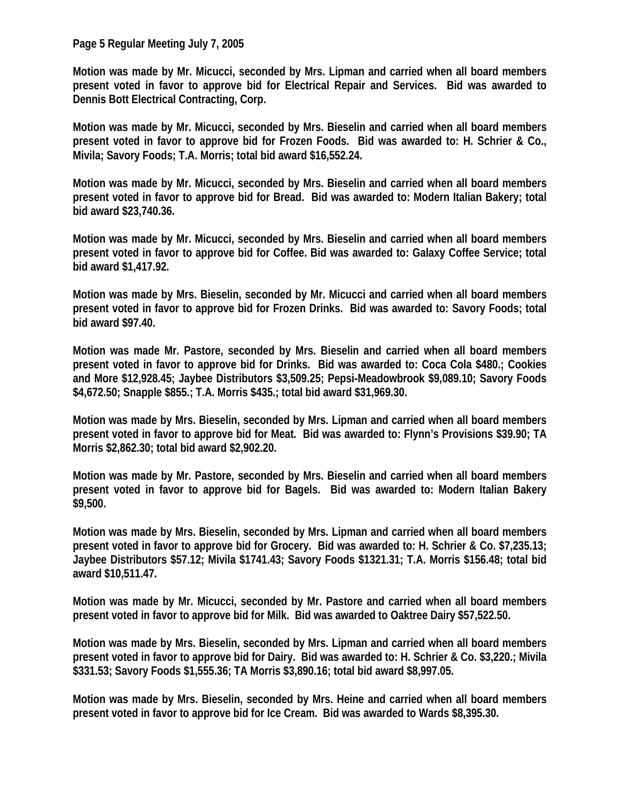**Page 5 Regular Meeting July 7, 2005** 

**Motion was made by Mr. Micucci, seconded by Mrs. Lipman and carried when all board members present voted in favor to approve bid for Electrical Repair and Services. Bid was awarded to Dennis Bott Electrical Contracting, Corp.** 

**Motion was made by Mr. Micucci, seconded by Mrs. Bieselin and carried when all board members present voted in favor to approve bid for Frozen Foods. Bid was awarded to: H. Schrier & Co., Mivila; Savory Foods; T.A. Morris; total bid award \$16,552.24.** 

**Motion was made by Mr. Micucci, seconded by Mrs. Bieselin and carried when all board members present voted in favor to approve bid for Bread. Bid was awarded to: Modern Italian Bakery; total bid award \$23,740.36.** 

**Motion was made by Mr. Micucci, seconded by Mrs. Bieselin and carried when all board members present voted in favor to approve bid for Coffee. Bid was awarded to: Galaxy Coffee Service; total bid award \$1,417.92.** 

**Motion was made by Mrs. Bieselin, seconded by Mr. Micucci and carried when all board members present voted in favor to approve bid for Frozen Drinks. Bid was awarded to: Savory Foods; total bid award \$97.40.** 

**Motion was made Mr. Pastore, seconded by Mrs. Bieselin and carried when all board members present voted in favor to approve bid for Drinks. Bid was awarded to: Coca Cola \$480.; Cookies and More \$12,928.45; Jaybee Distributors \$3,509.25; Pepsi-Meadowbrook \$9,089.10; Savory Foods \$4,672.50; Snapple \$855.; T.A. Morris \$435.; total bid award \$31,969.30.** 

**Motion was made by Mrs. Bieselin, seconded by Mrs. Lipman and carried when all board members present voted in favor to approve bid for Meat. Bid was awarded to: Flynn's Provisions \$39.90; TA Morris \$2,862.30; total bid award \$2,902.20.** 

**Motion was made by Mr. Pastore, seconded by Mrs. Bieselin and carried when all board members present voted in favor to approve bid for Bagels. Bid was awarded to: Modern Italian Bakery \$9,500.** 

**Motion was made by Mrs. Bieselin, seconded by Mrs. Lipman and carried when all board members present voted in favor to approve bid for Grocery. Bid was awarded to: H. Schrier & Co. \$7,235.13; Jaybee Distributors \$57.12; Mivila \$1741.43; Savory Foods \$1321.31; T.A. Morris \$156.48; total bid award \$10,511.47.** 

**Motion was made by Mr. Micucci, seconded by Mr. Pastore and carried when all board members present voted in favor to approve bid for Milk. Bid was awarded to Oaktree Dairy \$57,522.50.** 

**Motion was made by Mrs. Bieselin, seconded by Mrs. Lipman and carried when all board members present voted in favor to approve bid for Dairy. Bid was awarded to: H. Schrier & Co. \$3,220.; Mivila \$331.53; Savory Foods \$1,555.36; TA Morris \$3,890.16; total bid award \$8,997.05.** 

**Motion was made by Mrs. Bieselin, seconded by Mrs. Heine and carried when all board members present voted in favor to approve bid for Ice Cream. Bid was awarded to Wards \$8,395.30.**